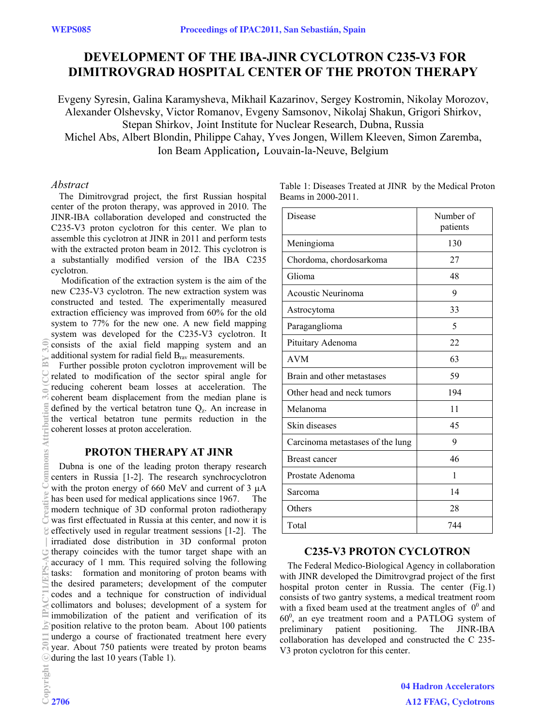# **DEVELOPMENT OF THE IBA-JINR CYCLOTRON C235-V3 FOR DIMITROVGRAD HOSPITAL CENTER OF THE PROTON THERAPY**

Evgeny Syresin, Galina Karamysheva, Mikhail Kazarinov, Sergey Kostromin, Nikolay Morozov, Alexander Olshevsky, Victor Romanov, Evgeny Samsonov, Nikolaj Shakun, Grigori Shirkov, Stepan Shirkov, Joint Institute for Nuclear Research, Dubna, Russia Michel Abs, Albert Blondin, Philippe Cahay, Yves Jongen, Willem Kleeven, Simon Zaremba, Ion Beam Application, Louvain-la-Neuve, Belgium

#### *Abstract*

The Dimitrovgrad project, the first Russian hospital center of the proton therapy, was approved in 2010. The JINR-IBA collaboration developed and constructed the C235-V3 proton cyclotron for this center. We plan to assemble this cyclotron at JINR in 2011 and perform tests with the extracted proton beam in 2012. This cyclotron is a substantially modified version of the IBA C235 cyclotron.

 Modification of the extraction system is the aim of the new C235-V3 cyclotron. The new extraction system was constructed and tested. The experimentally measured extraction efficiency was improved from 60% for the old system to 77% for the new one. A new field mapping system was developed for the C235-V3 cyclotron. It consists of the axial field mapping system and an additional system for radial field  $B<sub>rav</sub>$  measurements.

Further possible proton cyclotron improvement will be related to modification of the sector spiral angle for reducing coherent beam losses at acceleration. The coherent beam displacement from the median plane is defined by the vertical betatron tune  $Q<sub>z</sub>$ . An increase in the vertical betatron tune permits reduction in the coherent losses at proton acceleration.

### **PROTON THERAPY AT JINR**

Dubna is one of the leading proton therapy research centers in Russia [1-2]. The research synchrocyclotron with the proton energy of 660 MeV and current of  $3 \mu A$ has been used for medical applications since 1967. The modern technique of 3D conformal proton radiotherapy  $\overline{C}$  was first effectuated in Russia at this center, and now it is effectively used in regular treatment sessions [1-2]. The irradiated dose distribution in 3D conformal proton  $\cup$  therapy coincides with the tumor target shape with an accuracy of 1 mm. This required solving the following tasks: formation and monitoring of proton beams with the desired parameters; development of the computer codes and a technique for construction of individual collimators and boluses; development of a system for immobilization of the patient and verification of its position relative to the proton beam. About 100 patients undergo a course of fractionated treatment here every year. About 750 patients were treated by proton beams © during the last 10 years (Table 1).

| Table 1: Diseases Treated at JINR by the Medical Proton |  |
|---------------------------------------------------------|--|
| Beams in 2000-2011.                                     |  |

| Disease                          | Number of<br>patients |
|----------------------------------|-----------------------|
| Meningioma                       | 130                   |
| Chordoma, chordosarkoma          | 27                    |
| Glioma                           | 48                    |
| Acoustic Neurinoma               | 9                     |
| Astrocytoma                      | 33                    |
| Paraganglioma                    | 5                     |
| Pituitary Adenoma                | 22                    |
| <b>AVM</b>                       | 63                    |
| Brain and other metastases       | 59                    |
| Other head and neck tumors       | 194                   |
| Melanoma                         | 11                    |
| Skin diseases                    | 45                    |
| Carcinoma metastases of the lung | 9                     |
| Breast cancer                    | 46                    |
| Prostate Adenoma                 | 1                     |
| Sarcoma                          | 14                    |
| Others                           | 28                    |
| Total                            | 744                   |

### **C235-V3 PROTON CYCLOTRON**

The Federal Medico-Biological Agency in collaboration with JINR developed the Dimitrovgrad project of the first hospital proton center in Russia. The center (Fig.1) consists of two gantry systems, a medical treatment room with a fixed beam used at the treatment angles of  $0^0$  and  $60^0$ , an eye treatment room and a PATLOG system of preliminary patient positioning. The JINR-IBA collaboration has developed and constructed the C 235- V3 proton cyclotron for this center.

> 04 Hadron Accelerators A12 FFAG, Cyclotrons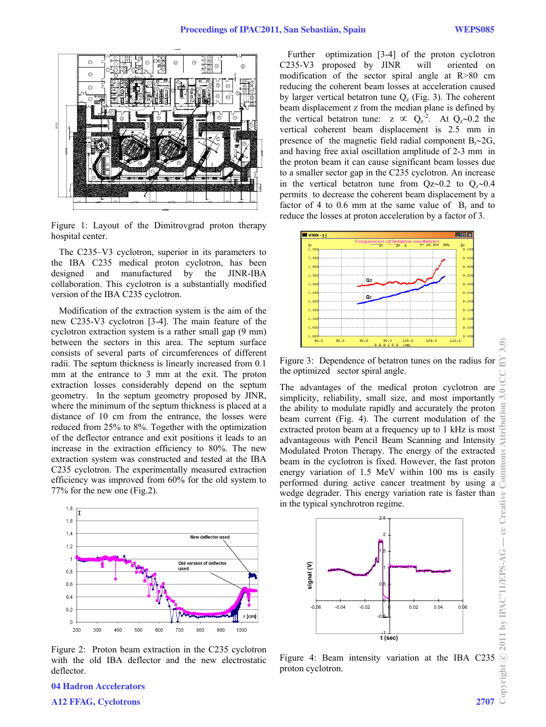

Figure 1: Layout of the Dimitrovgrad proton therapy hospital center.

The C235–V3 cyclotron, superior in its parameters to the IBA C235 medical proton cyclotron, has been designed and manufactured by the JINR-IBA collaboration. This cyclotron is a substantially modified version of the IBA C235 cyclotron.

Modification of the extraction system is the aim of the new C235-V3 cyclotron [3-4]. The main feature of the cyclotron extraction system is a rather small gap (9 mm) between the sectors in this area. The septum surface consists of several parts of circumferences of different radii. The septum thickness is linearly increased from 0.1 mm at the entrance to 3 mm at the exit. The proton extraction losses considerably depend on the septum geometry. In the septum geometry proposed by JINR, where the minimum of the septum thickness is placed at a distance of 10 cm from the entrance, the losses were reduced from 25% to 8%. Together with the optimization of the deflector entrance and exit positions it leads to an increase in the extraction efficiency to 80%. The new extraction system was constructed and tested at the IBA C235 cyclotron. The experimentally measured extraction efficiency was improved from 60% for the old system to 77% for the new one (Fig.2).



Figure 2: Proton beam extraction in the C235 cyclotron with the old IBA deflector and the new electrostatic deflector.

Further optimization [3-4] of the proton cyclotron C235-V3 proposed by JINR will oriented on modification of the sector spiral angle at R>80 cm reducing the coherent beam losses at acceleration caused by larger vertical betatron tune  $Q<sub>z</sub>$  (Fig. 3). The coherent beam displacement z from the median plane is defined by the vertical betatron tune:  $z \propto Q_z^{-2}$ . At  $Q_z \sim 0.2$  the vertical coherent beam displacement is 2.5 mm in presence of the magnetic field radial component  $B_r \sim 2G$ , and having free axial oscillation amplitude of 2-3 mm in the proton beam it can cause significant beam losses due to a smaller sector gap in the C235 cyclotron. An increase in the vertical betatron tune from  $Qz\sim0.2$  to  $Q_z\sim0.4$ permits to decrease the coherent beam displacement by a factor of 4 to 0.6 mm at the same value of  $B<sub>r</sub>$  and to reduce the losses at proton acceleration by a factor of 3.



Figure 3: Dependence of betatron tunes on the radius for the optimized sector spiral angle.

The advantages of the medical proton cyclotron are simplicity, reliability, small size, and most importantly the ability to modulate rapidly and accurately the proton beam current (Fig. 4). The current modulation of the extracted proton beam at a frequency up to 1 kHz is most advantageous with Pencil Beam Scanning and Intensity Modulated Proton Therapy. The energy of the extracted beam in the cyclotron is fixed. However, the fast proton energy variation of 1.5 MeV within 100 ms is easily performed during active cancer treatment by using a wedge degrader. This energy variation rate is faster than in the typical synchrotron regime.



Figure 4: Beam intensity variation at the IBA C235  $\circledcirc$ <br>proton cyclotron. proton cyclotron.

## 04 Hadron Accelerators A12 FFAG, Cyclotrons 2707